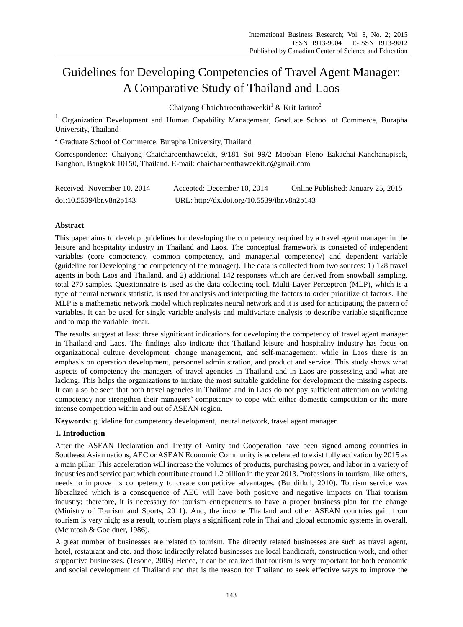# Guidelines for Developing Competencies of Travel Agent Manager: A Comparative Study of Thailand and Laos

Chaiyong Chaicharoenthaweekit<sup>1</sup> & Krit Jarinto<sup>2</sup>

<sup>1</sup> Organization Development and Human Capability Management, Graduate School of Commerce, Burapha University, Thailand

<sup>2</sup> Graduate School of Commerce, Burapha University, Thailand

Correspondence: Chaiyong Chaicharoenthaweekit, 9/181 Soi 99/2 Mooban Pleno Eakachai-Kanchanapisek, Bangbon, Bangkok 10150, Thailand. E-mail: chaicharoenthaweekit.c@gmail.com

| Received: November 10, 2014 | Accepted: December 10, 2014                 | Online Published: January 25, 2015 |
|-----------------------------|---------------------------------------------|------------------------------------|
| doi:10.5539/ibr.v8n2p143    | URL: http://dx.doi.org/10.5539/ibr.v8n2p143 |                                    |

## **Abstract**

This paper aims to develop guidelines for developing the competency required by a travel agent manager in the leisure and hospitality industry in Thailand and Laos. The conceptual framework is consisted of independent variables (core competency, common competency, and managerial competency) and dependent variable (guideline for Developing the competency of the manager). The data is collected from two sources: 1) 128 travel agents in both Laos and Thailand, and 2) additional 142 responses which are derived from snowball sampling, total 270 samples. Questionnaire is used as the data collecting tool. Multi-Layer Perceptron (MLP), which is a type of neural network statistic, is used for analysis and interpreting the factors to order prioritize of factors. The MLP is a mathematic network model which replicates neural network and it is used for anticipating the pattern of variables. It can be used for single variable analysis and multivariate analysis to describe variable significance and to map the variable linear.

The results suggest at least three significant indications for developing the competency of travel agent manager in Thailand and Laos. The findings also indicate that Thailand leisure and hospitality industry has focus on organizational culture development, change management, and self-management, while in Laos there is an emphasis on operation development, personnel administration, and product and service. This study shows what aspects of competency the managers of travel agencies in Thailand and in Laos are possessing and what are lacking. This helps the organizations to initiate the most suitable guideline for development the missing aspects. It can also be seen that both travel agencies in Thailand and in Laos do not pay sufficient attention on working competency nor strengthen their managers' competency to cope with either domestic competition or the more intense competition within and out of ASEAN region.

**Keywords:** guideline for competency development, neural network, travel agent manager

## **1. Introduction**

After the ASEAN Declaration and Treaty of Amity and Cooperation have been signed among countries in Southeast Asian nations, AEC or ASEAN Economic Community is accelerated to exist fully activation by 2015 as a main pillar. This acceleration will increase the volumes of products, purchasing power, and labor in a variety of industries and service part which contribute around 1.2 billion in the year 2013. Professions in tourism, like others, needs to improve its competency to create competitive advantages. (Bunditkul, 2010). Tourism service was liberalized which is a consequence of AEC will have both positive and negative impacts on Thai tourism industry; therefore, it is necessary for tourism entrepreneurs to have a proper business plan for the change (Ministry of Tourism and Sports, 2011). And, the income Thailand and other ASEAN countries gain from tourism is very high; as a result, tourism plays a significant role in Thai and global economic systems in overall. (Mcintosh & Goeldner, 1986).

A great number of businesses are related to tourism. The directly related businesses are such as travel agent, hotel, restaurant and etc. and those indirectly related businesses are local handicraft, construction work, and other supportive businesses. (Tesone, 2005) Hence, it can be realized that tourism is very important for both economic and social development of Thailand and that is the reason for Thailand to seek effective ways to improve the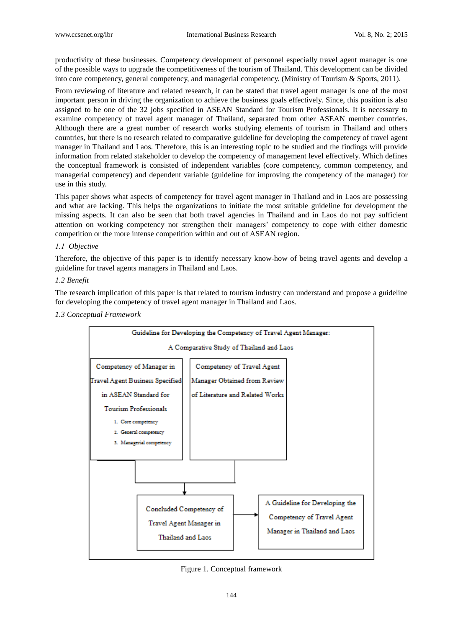productivity of these businesses. Competency development of personnel especially travel agent manager is one of the possible ways to upgrade the competitiveness of the tourism of Thailand. This development can be divided into core competency, general competency, and managerial competency. (Ministry of Tourism & Sports, 2011).

From reviewing of literature and related research, it can be stated that travel agent manager is one of the most important person in driving the organization to achieve the business goals effectively. Since, this position is also assigned to be one of the 32 jobs specified in ASEAN Standard for Tourism Professionals. It is necessary to examine competency of travel agent manager of Thailand, separated from other ASEAN member countries. Although there are a great number of research works studying elements of tourism in Thailand and others countries, but there is no research related to comparative guideline for developing the competency of travel agent manager in Thailand and Laos. Therefore, this is an interesting topic to be studied and the findings will provide information from related stakeholder to develop the competency of management level effectively. Which defines the conceptual framework is consisted of independent variables (core competency, common competency, and managerial competency) and dependent variable (guideline for improving the competency of the manager) for use in this study.

This paper shows what aspects of competency for travel agent manager in Thailand and in Laos are possessing and what are lacking. This helps the organizations to initiate the most suitable guideline for development the missing aspects. It can also be seen that both travel agencies in Thailand and in Laos do not pay sufficient attention on working competency nor strengthen their managers' competency to cope with either domestic competition or the more intense competition within and out of ASEAN region.

## *1.1 Objective*

Therefore, the objective of this paper is to identify necessary know-how of being travel agents and develop a guideline for travel agents managers in Thailand and Laos.

## *1.2 Benefit*

The research implication of this paper is that related to tourism industry can understand and propose a guideline for developing the competency of travel agent manager in Thailand and Laos.

## *1.3 Conceptual Framework*



Figure 1. Conceptual framework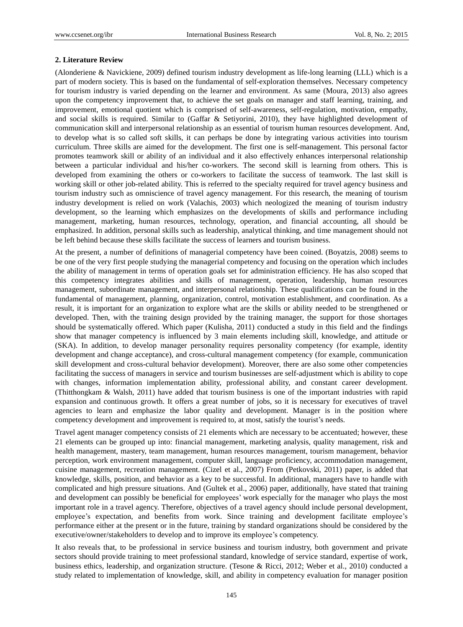#### **2. Literature Review**

(Alonderiene & Navickiene, 2009) defined tourism industry development as life-long learning (LLL) which is a part of modern society. This is based on the fundamental of self-exploration themselves. Necessary competency for tourism industry is varied depending on the learner and environment. As same (Moura, 2013) also agrees upon the competency improvement that, to achieve the set goals on manager and staff learning, training, and improvement, emotional quotient which is comprised of self-awareness, self-regulation, motivation, empathy, and social skills is required. Similar to (Gaffar & Setiyorini, 2010), they have highlighted development of communication skill and interpersonal relationship as an essential of tourism human resources development. And, to develop what is so called soft skills, it can perhaps be done by integrating various activities into tourism curriculum. Three skills are aimed for the development. The first one is self-management. This personal factor promotes teamwork skill or ability of an individual and it also effectively enhances interpersonal relationship between a particular individual and his/her co-workers. The second skill is learning from others. This is developed from examining the others or co-workers to facilitate the success of teamwork. The last skill is working skill or other job-related ability. This is referred to the specialty required for travel agency business and tourism industry such as omniscience of travel agency management. For this research, the meaning of tourism industry development is relied on work (Valachis, 2003) which neologized the meaning of tourism industry development, so the learning which emphasizes on the developments of skills and performance including management, marketing, human resources, technology, operation, and financial accounting, all should be emphasized. In addition, personal skills such as leadership, analytical thinking, and time management should not be left behind because these skills facilitate the success of learners and tourism business.

At the present, a number of definitions of managerial competency have been coined. (Boyatzis, 2008) seems to be one of the very first people studying the managerial competency and focusing on the operation which includes the ability of management in terms of operation goals set for administration efficiency. He has also scoped that this competency integrates abilities and skills of management, operation, leadership, human resources management, subordinate management, and interpersonal relationship. These qualifications can be found in the fundamental of management, planning, organization, control, motivation establishment, and coordination. As a result, it is important for an organization to explore what are the skills or ability needed to be strengthened or developed. Then, with the training design provided by the training manager, the support for those shortages should be systematically offered. Which paper (Kulisha, 2011) conducted a study in this field and the findings show that manager competency is influenced by 3 main elements including skill, knowledge, and attitude or (SKA). In addition, to develop manager personality requires personality competency (for example, identity development and change acceptance), and cross-cultural management competency (for example, communication skill development and cross-cultural behavior development). Moreover, there are also some other competencies facilitating the success of managers in service and tourism businesses are self-adjustment which is ability to cope with changes, information implementation ability, professional ability, and constant career development. (Thitthongkam & Walsh, 2011) have added that tourism business is one of the important industries with rapid expansion and continuous growth. It offers a great number of jobs, so it is necessary for executives of travel agencies to learn and emphasize the labor quality and development. Manager is in the position where competency development and improvement is required to, at most, satisfy the tourist's needs.

Travel agent manager competency consists of 21 elements which are necessary to be accentuated; however, these 21 elements can be grouped up into: financial management, marketing analysis, quality management, risk and health management, mastery, team management, human resources management, tourism management, behavior perception, work environment management, computer skill, language proficiency, accommodation management, cuisine management, recreation management. (Cizel et al., 2007) From (Petkovski, 2011) paper, is added that knowledge, skills, position, and behavior as a key to be successful. In additional, managers have to handle with complicated and high pressure situations. And (Gultek et al., 2006) paper, additionally, have stated that training and development can possibly be beneficial for employees' work especially for the manager who plays the most important role in a travel agency. Therefore, objectives of a travel agency should include personal development, employee's expectation, and benefits from work. Since training and development facilitate employee's performance either at the present or in the future, training by standard organizations should be considered by the executive/owner/stakeholders to develop and to improve its employee's competency.

It also reveals that, to be professional in service business and tourism industry, both government and private sectors should provide training to meet professional standard, knowledge of service standard, expertise of work, business ethics, leadership, and organization structure. (Tesone & Ricci, 2012; Weber et al., 2010) conducted a study related to implementation of knowledge, skill, and ability in competency evaluation for manager position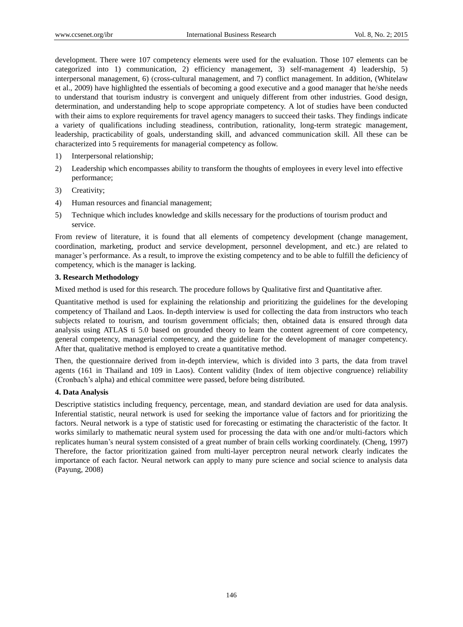development. There were 107 competency elements were used for the evaluation. Those 107 elements can be categorized into 1) communication, 2) efficiency management, 3) self-management 4) leadership, 5) interpersonal management, 6) (cross-cultural management, and 7) conflict management. In addition, (Whitelaw et al., 2009) have highlighted the essentials of becoming a good executive and a good manager that he/she needs to understand that tourism industry is convergent and uniquely different from other industries. Good design, determination, and understanding help to scope appropriate competency. A lot of studies have been conducted with their aims to explore requirements for travel agency managers to succeed their tasks. They findings indicate a variety of qualifications including steadiness, contribution, rationality, long-term strategic management, leadership, practicability of goals, understanding skill, and advanced communication skill. All these can be characterized into 5 requirements for managerial competency as follow.

- 1) Interpersonal relationship;
- 2) Leadership which encompasses ability to transform the thoughts of employees in every level into effective performance;
- 3) Creativity;
- 4) Human resources and financial management;
- 5) Technique which includes knowledge and skills necessary for the productions of tourism product and service.

From review of literature, it is found that all elements of competency development (change management, coordination, marketing, product and service development, personnel development, and etc.) are related to manager's performance. As a result, to improve the existing competency and to be able to fulfill the deficiency of competency, which is the manager is lacking.

## **3. Research Methodology**

Mixed method is used for this research. The procedure follows by Qualitative first and Quantitative after.

Quantitative method is used for explaining the relationship and prioritizing the guidelines for the developing competency of Thailand and Laos. In-depth interview is used for collecting the data from instructors who teach subjects related to tourism, and tourism government officials; then, obtained data is ensured through data analysis using ATLAS ti 5.0 based on grounded theory to learn the content agreement of core competency, general competency, managerial competency, and the guideline for the development of manager competency. After that, qualitative method is employed to create a quantitative method.

Then, the questionnaire derived from in-depth interview, which is divided into 3 parts, the data from travel agents (161 in Thailand and 109 in Laos). Content validity (Index of item objective congruence) reliability (Cronbach's alpha) and ethical committee were passed, before being distributed.

## **4. Data Analysis**

Descriptive statistics including frequency, percentage, mean, and standard deviation are used for data analysis. Inferential statistic, neural network is used for seeking the importance value of factors and for prioritizing the factors. Neural network is a type of statistic used for forecasting or estimating the characteristic of the factor. It works similarly to mathematic neural system used for processing the data with one and/or multi-factors which replicates human's neural system consisted of a great number of brain cells working coordinately. (Cheng, 1997) Therefore, the factor prioritization gained from multi-layer perceptron neural network clearly indicates the importance of each factor. Neural network can apply to many pure science and social science to analysis data (Payung, 2008)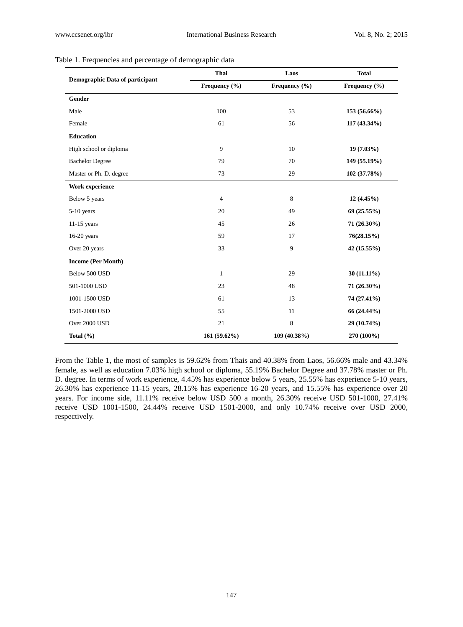| Demographic Data of participant | Thai           | Laos          | <b>Total</b>  |
|---------------------------------|----------------|---------------|---------------|
|                                 | Frequency (%)  | Frequency (%) | Frequency (%) |
| Gender                          |                |               |               |
| Male                            | 100            | 53            | 153 (56.66%)  |
| Female                          | 61             | 56            | 117 (43.34%)  |
| Education                       |                |               |               |
| High school or diploma          | 9              | 10            | $19(7.03\%)$  |
| <b>Bachelor Degree</b>          | 79             | 70            | 149 (55.19%)  |
| Master or Ph. D. degree         | 73             | 29            | 102 (37.78%)  |
| Work experience                 |                |               |               |
| Below 5 years                   | $\overline{4}$ | 8             | $12(4.45\%)$  |
| $5-10$ years                    | 20             | 49            | 69 (25.55%)   |
| $11-15$ years                   | 45             | 26            | 71 (26.30%)   |
| $16-20$ years                   | 59             | 17            | 76(28.15%)    |
| Over 20 years                   | 33             | 9             | 42 (15.55%)   |
| <b>Income (Per Month)</b>       |                |               |               |
| Below 500 USD                   | $\mathbf{1}$   | 29            | $30(11.11\%)$ |
| 501-1000 USD                    | 23             | 48            | 71 (26.30%)   |
| 1001-1500 USD                   | 61             | 13            | 74 (27.41%)   |
| 1501-2000 USD                   | 55             | 11            | 66 (24.44%)   |
| Over 2000 USD                   | 21             | $\,8\,$       | 29 (10.74%)   |
| Total $(\% )$                   | 161 (59.62%)   | 109 (40.38%)  | 270 (100%)    |

## Table 1. Frequencies and percentage of demographic data

From the Table 1, the most of samples is 59.62% from Thais and 40.38% from Laos, 56.66% male and 43.34% female, as well as education 7.03% high school or diploma, 55.19% Bachelor Degree and 37.78% master or Ph. D. degree. In terms of work experience, 4.45% has experience below 5 years, 25.55% has experience 5-10 years, 26.30% has experience 11-15 years, 28.15% has experience 16-20 years, and 15.55% has experience over 20 years. For income side, 11.11% receive below USD 500 a month, 26.30% receive USD 501-1000, 27.41% receive USD 1001-1500, 24.44% receive USD 1501-2000, and only 10.74% receive over USD 2000, respectively.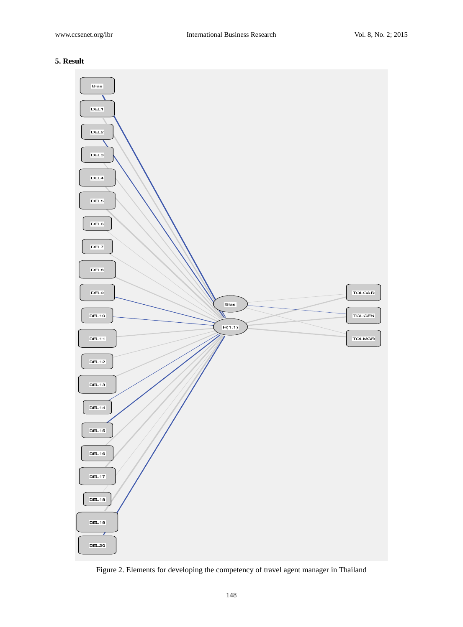# **5. Result**



Figure 2. Elements for developing the competency of travel agent manager in Thailand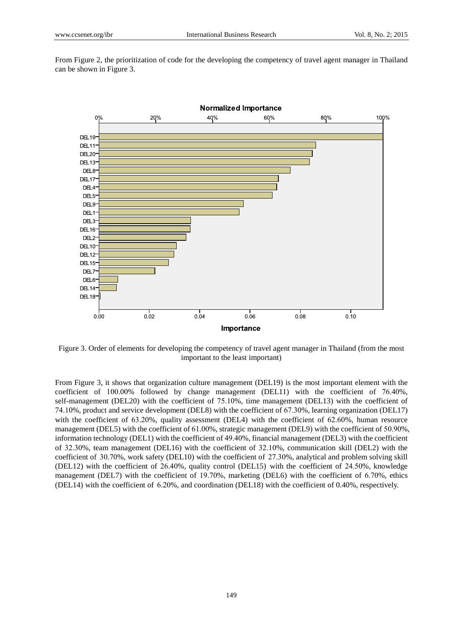From Figure 2, the prioritization of code for the developing the competency of travel agent manager in Thailand can be shown in Figure 3.



Figure 3. Order of elements for developing the competency of travel agent manager in Thailand (from the most important to the least important)

From Figure 3, it shows that organization culture management (DEL19) is the most important element with the coefficient of  $100.00\%$  followed by change management (DEL11) with the coefficient of 76.40%, self-management (DEL20) with the coefficient of 75.10%, time management (DEL13) with the coefficient of 74.10%, product and service development (DEL8) with the coefficient of 67.30%, learning organization (DEL17) with the coefficient of  $63.20\%$ , quality assessment (DEL4) with the coefficient of  $62.60\%$ , human resource management (DEL5) with the coefficient of 61.00%, strategic management (DEL9) with the coefficient of 50.90%, information technology (DEL1) with the coefficient of 49.40%, financial management (DEL3) with the coefficient of 32.30%, team management (DEL16) with the coefficient of 32.10%, communication skill (DEL2) with the coefficient of 30.70%, work safety (DEL10) with the coefficient of 27.30%, analytical and problem solving skill (DEL12) with the coefficient of  $26.40\%$ , quality control (DEL15) with the coefficient of  $24.50\%$ , knowledge management (DEL7) with the coefficient of 19.70%, marketing (DEL6) with the coefficient of 6.70%, ethics (DEL14) with the coefficient of  $6.20\%$ , and coordination (DEL18) with the coefficient of 0.40%, respectively.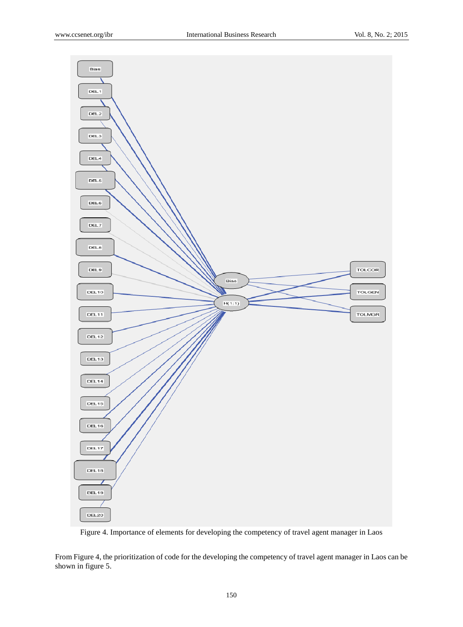

Figure 4. Importance of elements for developing the competency of travel agent manager in Laos

From Figure 4, the prioritization of code for the developing the competency of travel agent manager in Laos can be shown in figure 5.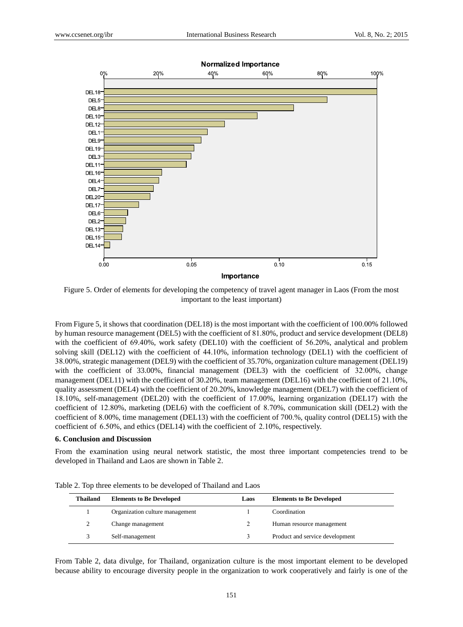

Figure 5. Order of elements for developing the competency of travel agent manager in Laos (From the most important to the least important)

From Figure 5, it shows that coordination (DEL18) is the most important with the coefficient of 100.00% followed by human resource management (DEL5) with the coefficient of 81.80%, product and service development (DEL8) with the coefficient of  $69.40\%$ , work safety (DEL10) with the coefficient of  $56.20\%$ , analytical and problem solving skill (DEL12) with the coefficient of 44.10%, information technology (DEL1) with the coefficient of 71011%, strategic management (DEL9) with the coefficient of 35.70%, organization culture management (DEL19) with the coefficient of 33.00%, financial management (DEL3) with the coefficient of 32.00%, change management (DEL11) with the coefficient of  $30.20\%$ , team management (DEL16) with the coefficient of  $21.10\%$ , quality assessment (DEL4) with the coefficient of 20.20%, knowledge management (DEL7) with the coefficient of 18.10%, self-management (DEL20) with the coefficient of 17.00%, learning organization (DEL17) with the coefficient of 12.80%, marketing (DEL6) with the coefficient of 8.70%, communication skill (DEL2) with the coefficient of 8.00%, time management (DEL13) with the coefficient of 700.%, quality control (DEL15) with the coefficient of  $6.50\%$ , and ethics (DEL14) with the coefficient of  $2.10\%$ , respectively.

#### **6. Conclusion and Discussion**

From the examination using neural network statistic, the most three important competencies trend to be developed in Thailand and Laos are shown in Table 2.

| <b>Thailand</b> | <b>Elements to Be Developed</b> | Laos | <b>Elements to Be Developed</b> |
|-----------------|---------------------------------|------|---------------------------------|
|                 | Organization culture management |      | Coordination                    |
|                 | Change management               |      | Human resource management       |
|                 | Self-management                 |      | Product and service development |

Table 2. Top three elements to be developed of Thailand and Laos

From Table 2, data divulge, for Thailand, organization culture is the most important element to be developed because ability to encourage diversity people in the organization to work cooperatively and fairly is one of the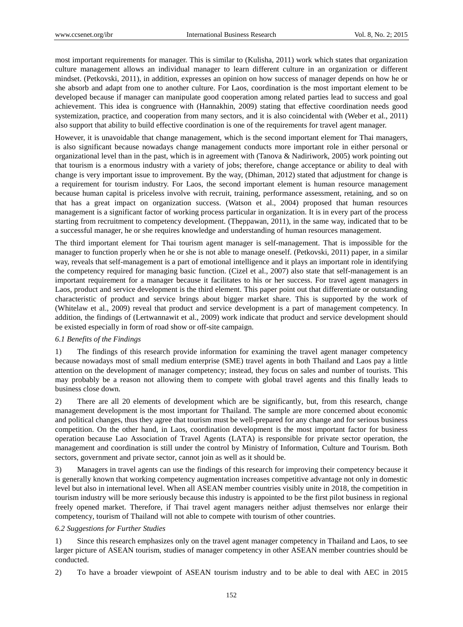most important requirements for manager. This is similar to (Kulisha, 2011) work which states that organization culture management allows an individual manager to learn different culture in an organization or different mindset. (Petkovski, 2011), in addition, expresses an opinion on how success of manager depends on how he or she absorb and adapt from one to another culture. For Laos, coordination is the most important element to be developed because if manager can manipulate good cooperation among related parties lead to success and goal achievement. This idea is congruence with (Hannakhin, 2009) stating that effective coordination needs good systemization, practice, and cooperation from many sectors, and it is also coincidental with (Weber et al., 2011) also support that ability to build effective coordination is one of the requirements for travel agent manager.

However, it is unavoidable that change management, which is the second important element for Thai managers, is also significant because nowadays change management conducts more important role in either personal or organizational level than in the past, which is in agreement with (Tanova & Nadiriwork, 2005) work pointing out that tourism is a enormous industry with a variety of jobs; therefore, change acceptance or ability to deal with change is very important issue to improvement. By the way, (Dhiman, 2012) stated that adjustment for change is a requirement for tourism industry. For Laos, the second important element is human resource management because human capital is priceless involve with recruit, training, performance assessment, retaining, and so on that has a great impact on organization success. (Watson et al., 2004) proposed that human resources management is a significant factor of working process particular in organization. It is in every part of the process starting from recruitment to competency development. (Theppawan, 2011), in the same way, indicated that to be a successful manager, he or she requires knowledge and understanding of human resources management.

The third important element for Thai tourism agent manager is self-management. That is impossible for the manager to function properly when he or she is not able to manage oneself. (Petkovski, 2011) paper, in a similar way, reveals that self-management is a part of emotional intelligence and it plays an important role in identifying the competency required for managing basic function. (Cizel et al., 2007) also state that self-management is an important requirement for a manager because it facilitates to his or her success. For travel agent managers in Laos, product and service development is the third element. This paper point out that differentiate or outstanding characteristic of product and service brings about bigger market share. This is supported by the work of (Whitelaw et al., 2009) reveal that product and service development is a part of management competency. In addition, the findings of (Lertwannawit et al., 2009) work indicate that product and service development should be existed especially in form of road show or off-site campaign.

#### *6.1 Benefits of the Findings*

1) The findings of this research provide information for examining the travel agent manager competency because nowadays most of small medium enterprise (SME) travel agents in both Thailand and Laos pay a little attention on the development of manager competency; instead, they focus on sales and number of tourists. This may probably be a reason not allowing them to compete with global travel agents and this finally leads to business close down.

2) There are all 20 elements of development which are be significantly, but, from this research, change management development is the most important for Thailand. The sample are more concerned about economic and political changes, thus they agree that tourism must be well-prepared for any change and for serious business competition. On the other hand, in Laos, coordination development is the most important factor for business operation because Lao Association of Travel Agents (LATA) is responsible for private sector operation, the management and coordination is still under the control by Ministry of Information, Culture and Tourism. Both sectors, government and private sector, cannot join as well as it should be.

3) Managers in travel agents can use the findings of this research for improving their competency because it is generally known that working competency augmentation increases competitive advantage not only in domestic level but also in international level. When all ASEAN member countries visibly unite in 2018, the competition in tourism industry will be more seriously because this industry is appointed to be the first pilot business in regional freely opened market. Therefore, if Thai travel agent managers neither adjust themselves nor enlarge their competency, tourism of Thailand will not able to compete with tourism of other countries.

#### *6.2 Suggestions for Further Studies*

1) Since this research emphasizes only on the travel agent manager competency in Thailand and Laos, to see larger picture of ASEAN tourism, studies of manager competency in other ASEAN member countries should be conducted.

2) To have a broader viewpoint of ASEAN tourism industry and to be able to deal with AEC in 2015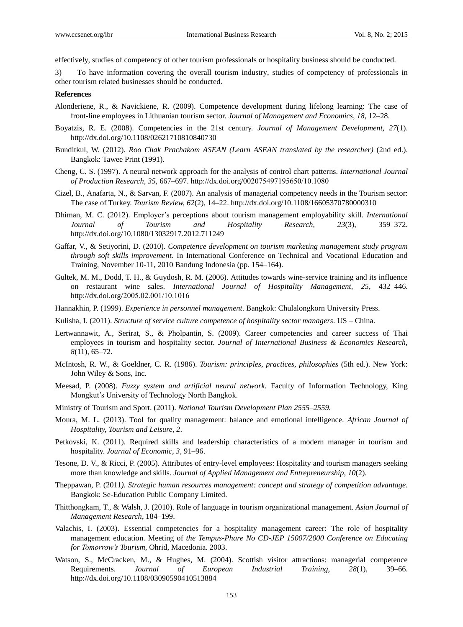effectively, studies of competency of other tourism professionals or hospitality business should be conducted.

3) To have information covering the overall tourism industry, studies of competency of professionals in other tourism related businesses should be conducted.

#### **References**

- Alonderiene, R., & Navickiene, R. (2009). Competence development during lifelong learning: The case of front-line employees in Lithuanian tourism sector. *Journal of Management and Economics, 18*, 12–28.
- Boyatzis, R. E. (2008). Competencies in the 21st century. *Journal of Management Development, 27*(1). http://dx.doi.org/10.1108/02621710810840730
- Bunditkul, W. (2012). *Roo Chak Prachakom ASEAN (Learn ASEAN translated by the researcher)* (2nd ed.). Bangkok: Tawee Print (1991).
- Cheng, C. S. (1997). A neural network approach for the analysis of control chart patterns. *International Journal of Production Research, 35, 667-697. http://dx.doi.org/002075497195650/10.1080*
- Cizel, B., Anafarta, N., & Sarvan, F. (2007). An analysis of managerial competency needs in the Tourism sector: The case of Turkey. *Tourism Review, 62*(2), 14–22. http://dx.doi.org/10.1108/16605370780000310
- Dhiman, M. C. (2012). Employer's perceptions about tourism management employability skill. *International Journal of Tourism and Hospitality Research, 23*(3), 359–372. http://dx.doi.org/10.1080/13032917.2012.711249
- Gaffar, V., & Setiyorini, D. (2010). *Competence development on tourism marketing management study program through soft skills improvement.* In International Conference on Technical and Vocational Education and Training, November 10-11, 2010 Bandung Indonesia (pp. 154–164).
- Gultek, M. M., Dodd, T. H., & Guydosh, R. M. (2006). Attitudes towards wine-service training and its influence on restaurant wine sales. *International Journal of Hospitality Management, 25*, 432–446. http://dx.doi.org/2005.02.001/10.1016
- Hannakhin, P. (1999). *Experience in personnel management*. Bangkok: Chulalongkorn University Press.
- Kulisha, I. (2011). *Structure of service culture competence of hospitality sector managers*. US China.
- Lertwannawit, A., Serirat, S., & Pholpantin, S. (2009). Career competencies and career success of Thai employees in tourism and hospitality sector. *Journal of International Business & Economics Research, 8*(11), 65–72.
- McIntosh, R. W., & Goeldner, C. R. (1986). *Tourism: principles, practices, philosophies* (5th ed.). New York: John Wiley & Sons, Inc.
- Meesad, P. (2008). *Fuzzy system and artificial neural network.* Faculty of Information Technology, King Mongkut's University of Technology North Bangkok.
- Ministry of Tourism and Sport. (2011). *National Tourism Development Plan 2555*–*2559.*
- Moura, M. L. (2013). Tool for quality management: balance and emotional intelligence. *African Journal of Hospitality, Tourism and Leisure, 2*.
- Petkovski, K. (2011). Required skills and leadership characteristics of a modern manager in tourism and hospitality. *Journal of Economic, 3*, 91–96.
- Tesone, D. V., & Ricci, P. (2005). Attributes of entry-level employees: Hospitality and tourism managers seeking more than knowledge and skills. *Journal of Applied Management and Entrepreneurship, 10*(2).
- Theppawan, P. (2011*). Strategic human resources management: concept and strategy of competition advantage.* Bangkok: Se-Education Public Company Limited.
- Thitthongkam, T., & Walsh, J. (2010). Role of language in tourism organizational management. *Asian Journal of Management Research*, 184–199.
- Valachis, I. (2003). Essential competencies for a hospitality management career: The role of hospitality management education. Meeting of *the Tempus-Phare No CD-JEP 15007/2000 Conference on Educating for Tomorrow's Tourism,* Ohrid, Macedonia. 2003.
- Watson, S., McCracken, M., & Hughes, M. (2004). Scottish visitor attractions: managerial competence Requirements. *Journal of European Industrial Training, 28*(1), 39–66. http://dx.doi.org/10.1108/03090590410513884